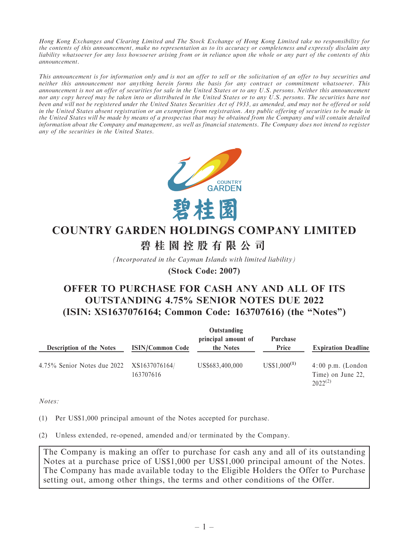Hong Kong Exchanges and Clearing Limited and The Stock Exchange of Hong Kong Limited take no responsibility for the contents of this announcement, make no representation as to its accuracy or completeness and expressly disclaim any liability whatsoever for any loss howsoever arising from or in reliance upon the whole or any part of the contents of this announcement.

This announcement is for information only and is not an offer to sell or the solicitation of an offer to buy securities and neither this announcement nor anything herein forms the basis for any contract or commitment whatsoever. This announcement is not an offer of securities for sale in the United States or to any U.S. persons. Neither this announcement nor any copy hereof may be taken into or distributed in the United States or to any U.S. persons. The securities have not been and will not be registered under the United States Securities Act of 1933, as amended, and may not be offered or sold in the United States absent registration or an exemption from registration. Any public offering of securities to be made in the United States will be made by means of a prospectus that may be obtained from the Company and will contain detailed information about the Company and management, as well as financial statements. The Company does not intend to register any of the securities in the United States.



# **COUNTRY GARDEN HOLDINGS COMPANY LIMITED 碧桂園控股有限公司**

*(Incorporated in the Cayman Islands with limited liability)*

**(Stock Code: 2007)**

# OFFER TO PURCHASE FOR CASH ANY AND ALL OF ITS OUTSTANDING 4.75% SENIOR NOTES DUE 2022 (ISIN: XS1637076164; Common Code: 163707616) (the ''Notes'')

|                                           |                         | Outstanding                      |                   |                                                          |
|-------------------------------------------|-------------------------|----------------------------------|-------------------|----------------------------------------------------------|
| <b>Description of the Notes</b>           | <b>ISIN/Common Code</b> | principal amount of<br>the Notes | Purchase<br>Price | <b>Expiration Deadline</b>                               |
| 4.75% Senior Notes due 2022 XS1637076164/ | 163707616               | US\$683,400,000                  | $US$1,000^{(1)}$  | $4:00$ p.m. (London<br>Time) on June 22,<br>$2022^{(2)}$ |

Notes:

(1) Per US\$1,000 principal amount of the Notes accepted for purchase.

(2) Unless extended, re-opened, amended and/or terminated by the Company.

The Company is making an offer to purchase for cash any and all of its outstanding Notes at a purchase price of US\$1,000 per US\$1,000 principal amount of the Notes. The Company has made available today to the Eligible Holders the Offer to Purchase setting out, among other things, the terms and other conditions of the Offer.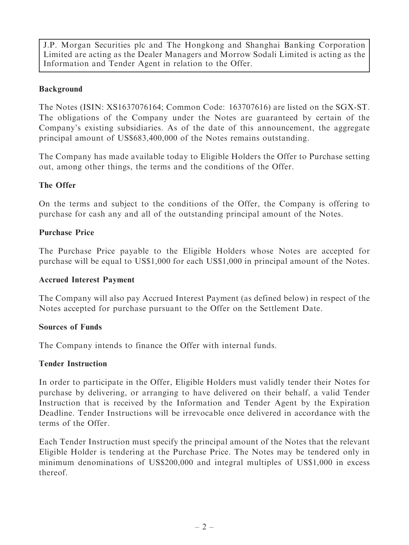J.P. Morgan Securities plc and The Hongkong and Shanghai Banking Corporation Limited are acting as the Dealer Managers and Morrow Sodali Limited is acting as the Information and Tender Agent in relation to the Offer.

# Background

The Notes (ISIN: XS1637076164; Common Code: 163707616) are listed on the SGX-ST. The obligations of the Company under the Notes are guaranteed by certain of the Company's existing subsidiaries. As of the date of this announcement, the aggregate principal amount of US\$683,400,000 of the Notes remains outstanding.

The Company has made available today to Eligible Holders the Offer to Purchase setting out, among other things, the terms and the conditions of the Offer.

# The Offer

On the terms and subject to the conditions of the Offer, the Company is offering to purchase for cash any and all of the outstanding principal amount of the Notes.

## Purchase Price

The Purchase Price payable to the Eligible Holders whose Notes are accepted for purchase will be equal to US\$1,000 for each US\$1,000 in principal amount of the Notes.

#### Accrued Interest Payment

The Company will also pay Accrued Interest Payment (as defined below) in respect of the Notes accepted for purchase pursuant to the Offer on the Settlement Date.

#### Sources of Funds

The Company intends to finance the Offer with internal funds.

#### Tender Instruction

In order to participate in the Offer, Eligible Holders must validly tender their Notes for purchase by delivering, or arranging to have delivered on their behalf, a valid Tender Instruction that is received by the Information and Tender Agent by the Expiration Deadline. Tender Instructions will be irrevocable once delivered in accordance with the terms of the Offer.

Each Tender Instruction must specify the principal amount of the Notes that the relevant Eligible Holder is tendering at the Purchase Price. The Notes may be tendered only in minimum denominations of US\$200,000 and integral multiples of US\$1,000 in excess thereof.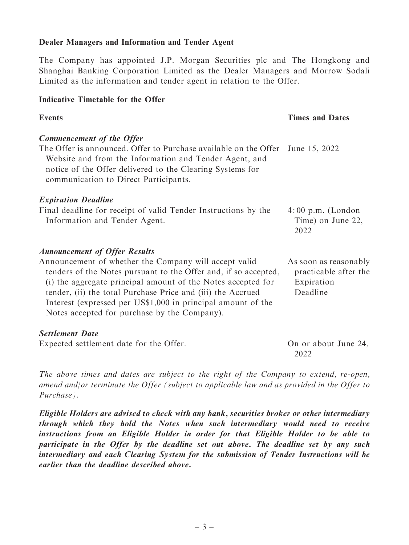#### Dealer Managers and Information and Tender Agent

The Company has appointed J.P. Morgan Securities plc and The Hongkong and Shanghai Banking Corporation Limited as the Dealer Managers and Morrow Sodali Limited as the information and tender agent in relation to the Offer.

#### Indicative Timetable for the Offer

#### Events Times and Dates

| <b>Commencement of the Offer</b>                                               |  |
|--------------------------------------------------------------------------------|--|
| The Offer is announced. Offer to Purchase available on the Offer June 15, 2022 |  |
| Website and from the Information and Tender Agent, and                         |  |
| notice of the Offer delivered to the Clearing Systems for                      |  |
| communication to Direct Participants.                                          |  |
|                                                                                |  |

#### Expiration Deadline

| Final deadline for receipt of valid Tender Instructions by the | $4:00 \text{ p.m.}$ (London |
|----------------------------------------------------------------|-----------------------------|
| Information and Tender Agent.                                  | Time) on June 22,           |
|                                                                | 2022                        |

#### Announcement of Offer Results

| Announcement of whether the Company will accept valid           | As soon as reasonably |
|-----------------------------------------------------------------|-----------------------|
| tenders of the Notes pursuant to the Offer and, if so accepted, | practicable after the |
| (i) the aggregate principal amount of the Notes accepted for    | Expiration            |
| tender, (ii) the total Purchase Price and (iii) the Accrued     | Deadline              |
| Interest (expressed per US\$1,000 in principal amount of the    |                       |
| Notes accepted for purchase by the Company).                    |                       |

#### Settlement Date

Expected settlement date for the Offer. On or about June 24,

2022

The above times and dates are subject to the right of the Company to extend, re-open, amend and/or terminate the Offer (subject to applicable law and as provided in the Offer to Purchase).

Eligible Holders are advised to check with any bank, securities broker or other intermediary through which they hold the Notes when such intermediary would need to receive instructions from an Eligible Holder in order for that Eligible Holder to be able to participate in the Offer by the deadline set out above. The deadline set by any such intermediary and each Clearing System for the submission of Tender Instructions will be earlier than the deadline described above.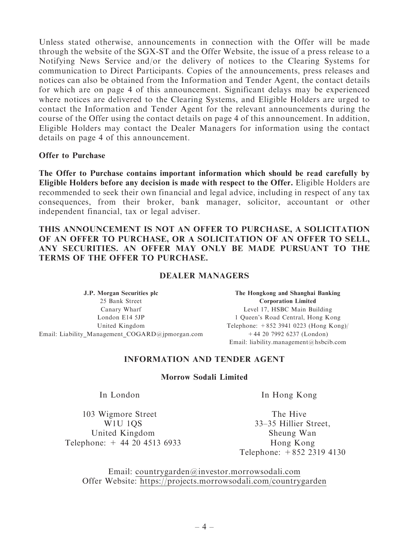Unless stated otherwise, announcements in connection with the Offer will be made through the website of the SGX-ST and the Offer Website, the issue of a press release to a Notifying News Service and/or the delivery of notices to the Clearing Systems for communication to Direct Participants. Copies of the announcements, press releases and notices can also be obtained from the Information and Tender Agent, the contact details for which are on page 4 of this announcement. Significant delays may be experienced where notices are delivered to the Clearing Systems, and Eligible Holders are urged to contact the Information and Tender Agent for the relevant announcements during the course of the Offer using the contact details on page 4 of this announcement. In addition, Eligible Holders may contact the Dealer Managers for information using the contact details on page 4 of this announcement.

Offer to Purchase

The Offer to Purchase contains important information which should be read carefully by Eligible Holders before any decision is made with respect to the Offer. Eligible Holders are recommended to seek their own financial and legal advice, including in respect of any tax consequences, from their broker, bank manager, solicitor, accountant or other independent financial, tax or legal adviser.

#### THIS ANNOUNCEMENT IS NOT AN OFFER TO PURCHASE, A SOLICITATION OF AN OFFER TO PURCHASE, OR A SOLICITATION OF AN OFFER TO SELL, ANY SECURITIES. AN OFFER MAY ONLY BE MADE PURSUANT TO THE TERMS OF THE OFFER TO PURCHASE.

#### DEALER MANAGERS

J.P. Morgan Securities plc 25 Bank Street Canary Wharf London E14 5JP United Kingdom Email: Liability\_Management\_COGARD@jpmorgan.com

The Hongkong and Shanghai Banking Corporation Limited Level 17, HSBC Main Building 1 Queen's Road Central, Hong Kong Telephone: +852 3941 0223 (Hong Kong)/ +44 20 7992 6237 (London) Email: liability.management@hsbcib.com

## INFORMATION AND TENDER AGENT

#### Morrow Sodali Limited

103 Wigmore Street W1U 1QS United Kingdom Telephone: + 44 20 4513 6933

In London In Hong Kong

The Hive 33–35 Hillier Street, Sheung Wan Hong Kong Telephone: +852 2319 4130

Email: countrygarden@investor.morrowsodali.com Offer Website: https://projects.morrowsodali.com/countrygarden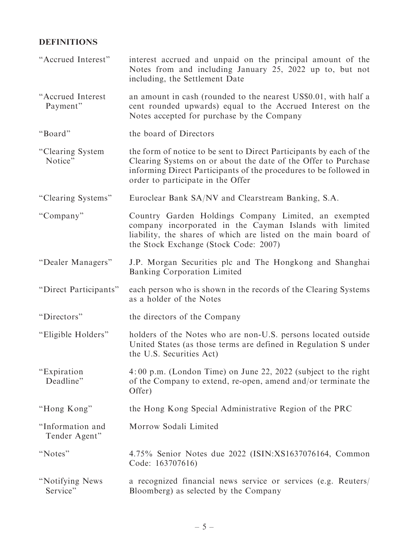# DEFINITIONS

| "Accrued Interest"                | interest accrued and unpaid on the principal amount of the<br>Notes from and including January 25, 2022 up to, but not<br>including, the Settlement Date                                                                                        |
|-----------------------------------|-------------------------------------------------------------------------------------------------------------------------------------------------------------------------------------------------------------------------------------------------|
| "Accrued Interest<br>Payment"     | an amount in cash (rounded to the nearest US\$0.01, with half a<br>cent rounded upwards) equal to the Accrued Interest on the<br>Notes accepted for purchase by the Company                                                                     |
| "Board"                           | the board of Directors                                                                                                                                                                                                                          |
| "Clearing System<br>Notice"       | the form of notice to be sent to Direct Participants by each of the<br>Clearing Systems on or about the date of the Offer to Purchase<br>informing Direct Participants of the procedures to be followed in<br>order to participate in the Offer |
| "Clearing Systems"                | Euroclear Bank SA/NV and Clearstream Banking, S.A.                                                                                                                                                                                              |
| "Company"                         | Country Garden Holdings Company Limited, an exempted<br>company incorporated in the Cayman Islands with limited<br>liability, the shares of which are listed on the main board of<br>the Stock Exchange (Stock Code: 2007)                      |
| "Dealer Managers"                 | J.P. Morgan Securities plc and The Hongkong and Shanghai<br>Banking Corporation Limited                                                                                                                                                         |
| "Direct Participants"             | each person who is shown in the records of the Clearing Systems<br>as a holder of the Notes                                                                                                                                                     |
| "Directors"                       | the directors of the Company                                                                                                                                                                                                                    |
| "Eligible Holders"                | holders of the Notes who are non-U.S. persons located outside<br>United States (as those terms are defined in Regulation S under<br>the U.S. Securities Act)                                                                                    |
| "Expiration"<br>Deadline"         | 4:00 p.m. (London Time) on June 22, 2022 (subject to the right<br>of the Company to extend, re-open, amend and/or terminate the<br>Offer)                                                                                                       |
| "Hong Kong"                       | the Hong Kong Special Administrative Region of the PRC                                                                                                                                                                                          |
| "Information and<br>Tender Agent" | Morrow Sodali Limited                                                                                                                                                                                                                           |
| "Notes"                           | 4.75% Senior Notes due 2022 (ISIN:XS1637076164, Common<br>Code: 163707616)                                                                                                                                                                      |
| "Notifying News<br>Service"       | a recognized financial news service or services (e.g. Reuters/<br>Bloomberg) as selected by the Company                                                                                                                                         |